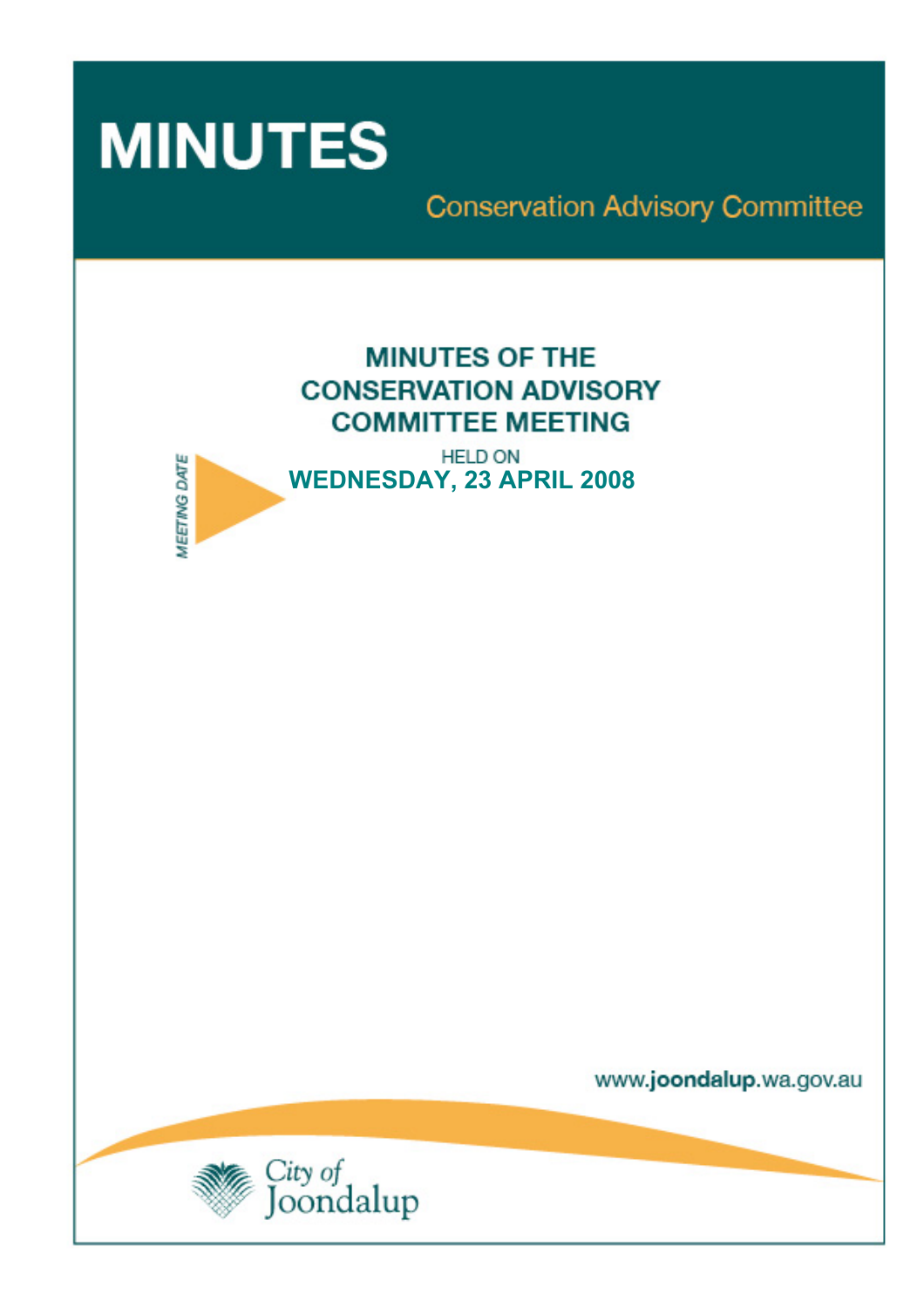

**MEETING DATE** 

**Conservation Advisory Committee** 



**HELD ON WEDNESDAY, 23 APRIL 2008** 

www.joondalup.wa.gov.au

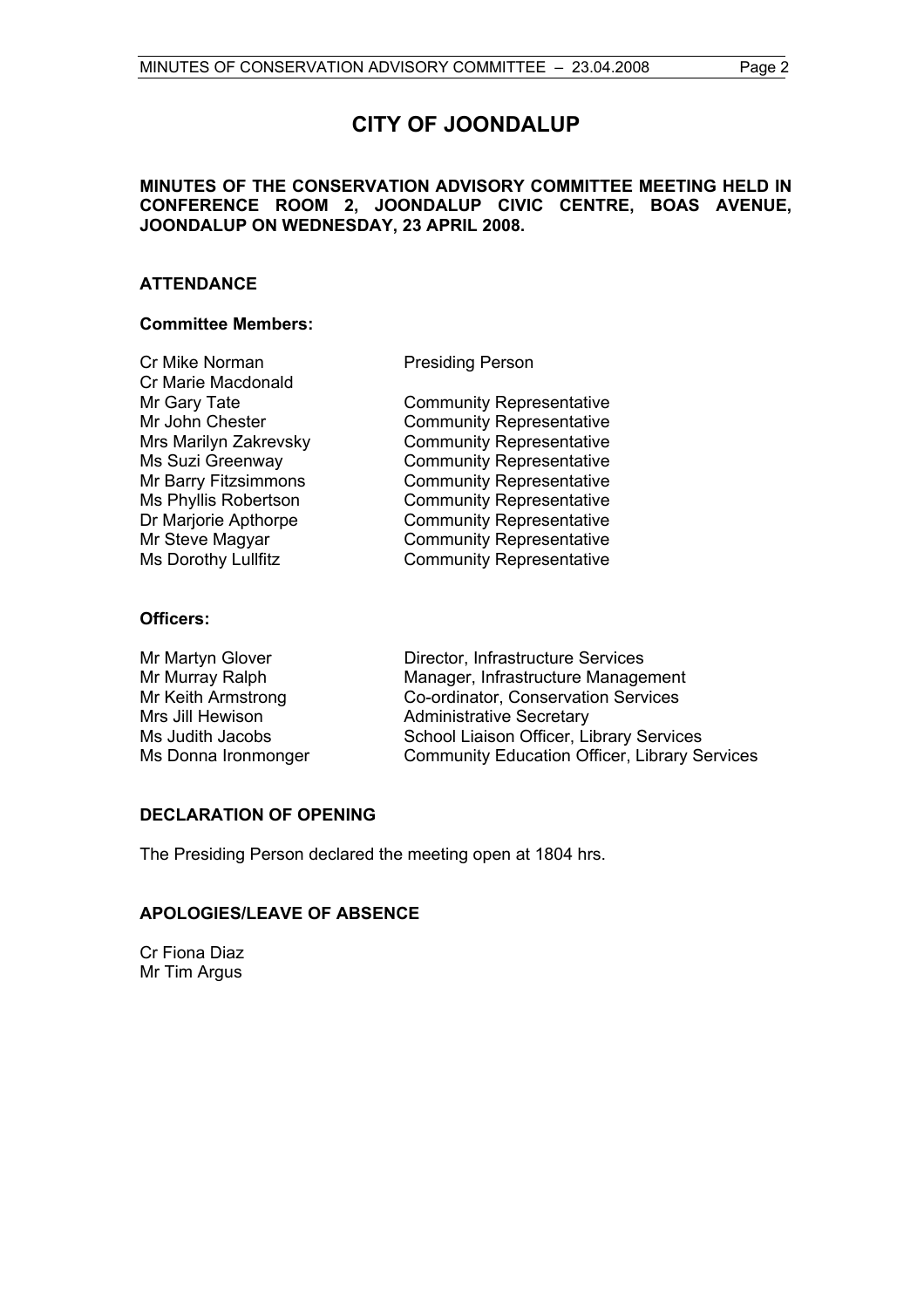# **MINUTES OF THE CONSERVATION ADVISORY COMMITTEE MEETING HELD IN CONFERENCE ROOM 2, JOONDALUP CIVIC CENTRE, BOAS AVENUE, JOONDALUP ON WEDNESDAY, 23 APRIL 2008.**

# **ATTENDANCE**

# **Committee Members:**

| Cr Mike Norman             |
|----------------------------|
| Cr Marie Macdonald         |
| Mr Gary Tate               |
| Mr John Chester            |
| Mrs Marilyn Zakrevsky      |
| Ms Suzi Greenway           |
| Mr Barry Fitzsimmons       |
| Ms Phyllis Robertson       |
| Dr Marjorie Apthorpe       |
| Mr Steve Magyar            |
| <b>Ms Dorothy Lullfitz</b> |

Presiding Person

**Community Representative** Community Representative Community Representative Community Representative Community Representative Community Representative Community Representative Community Representative Community Representative

# **Officers:**

Mr Martyn Glover **Director**, Infrastructure Services Mr Murray Ralph Manager, Infrastructure Management<br>
Mr Keith Armstrong Co-ordinator, Conservation Services Co-ordinator, Conservation Services Mrs Jill Hewison **Administrative Secretary** Ms Judith Jacobs School Liaison Officer, Library Services Ms Donna Ironmonger Community Education Officer, Library Services

# **DECLARATION OF OPENING**

The Presiding Person declared the meeting open at 1804 hrs.

# **APOLOGIES/LEAVE OF ABSENCE**

Cr Fiona Diaz Mr Tim Argus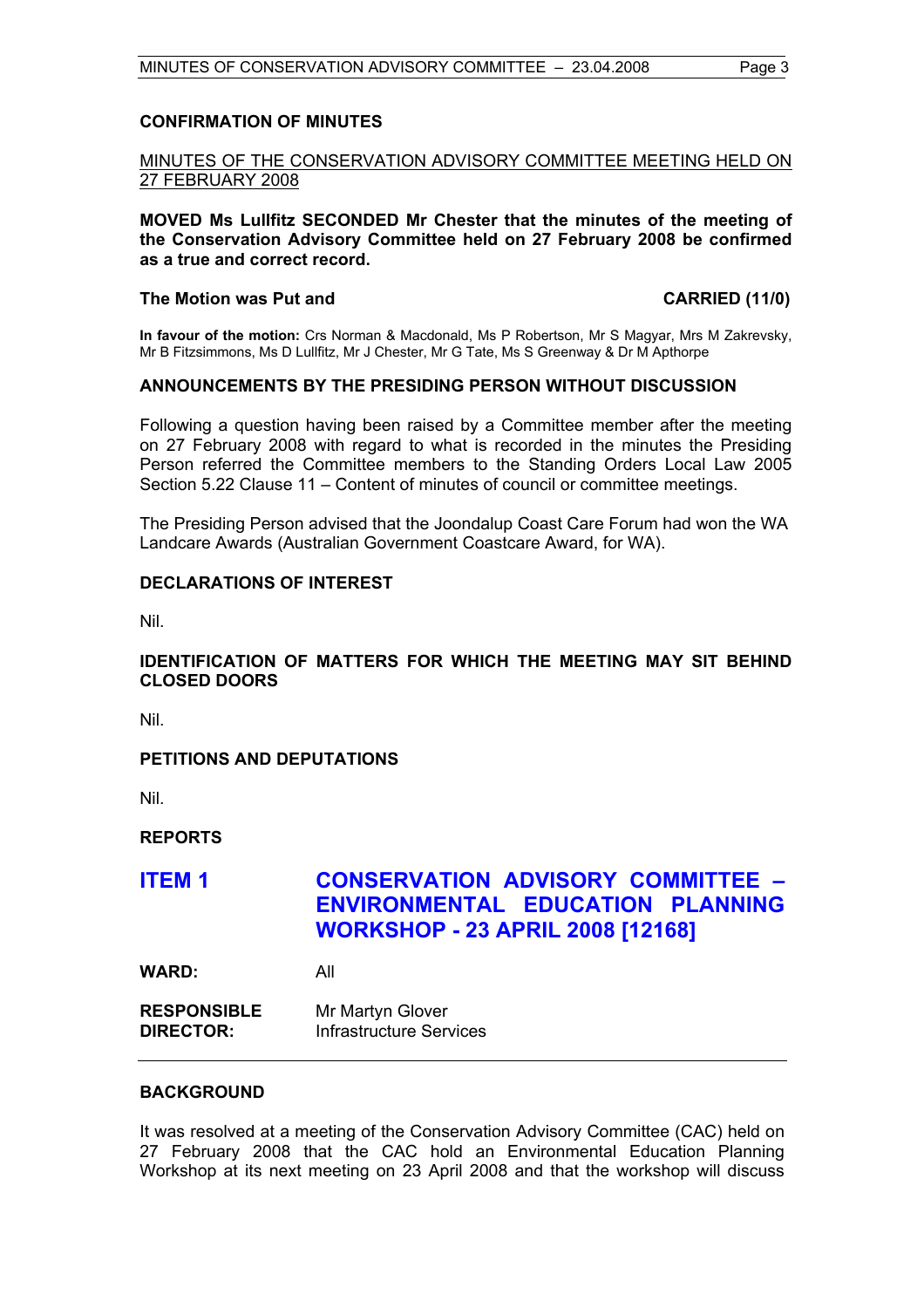#### **CONFIRMATION OF MINUTES**

# MINUTES OF THE CONSERVATION ADVISORY COMMITTEE MEETING HELD ON 27 FEBRUARY 2008

**MOVED Ms Lullfitz SECONDED Mr Chester that the minutes of the meeting of the Conservation Advisory Committee held on 27 February 2008 be confirmed as a true and correct record.** 

#### The Motion was Put and **CARRIED** (11/0)

**In favour of the motion:** Crs Norman & Macdonald, Ms P Robertson, Mr S Magyar, Mrs M Zakrevsky, Mr B Fitzsimmons, Ms D Lullfitz, Mr J Chester, Mr G Tate, Ms S Greenway & Dr M Apthorpe

# **ANNOUNCEMENTS BY THE PRESIDING PERSON WITHOUT DISCUSSION**

Following a question having been raised by a Committee member after the meeting on 27 February 2008 with regard to what is recorded in the minutes the Presiding Person referred the Committee members to the Standing Orders Local Law 2005 Section 5.22 Clause 11 – Content of minutes of council or committee meetings.

The Presiding Person advised that the Joondalup Coast Care Forum had won the WA Landcare Awards (Australian Government Coastcare Award, for WA).

### **DECLARATIONS OF INTEREST**

Nil.

# **IDENTIFICATION OF MATTERS FOR WHICH THE MEETING MAY SIT BEHIND CLOSED DOORS**

Nil.

# **PETITIONS AND DEPUTATIONS**

Nil.

**REPORTS** 

# **ITEM 1 CONSERVATION ADVISORY COMMITTEE – ENVIRONMENTAL EDUCATION PLANNING WORKSHOP - 23 APRIL 2008 [12168]**

**WARD:** All

**RESPONSIBLE** Mr Martyn Glover **DIRECTOR:** Infrastructure Services

#### **BACKGROUND**

It was resolved at a meeting of the Conservation Advisory Committee (CAC) held on 27 February 2008 that the CAC hold an Environmental Education Planning Workshop at its next meeting on 23 April 2008 and that the workshop will discuss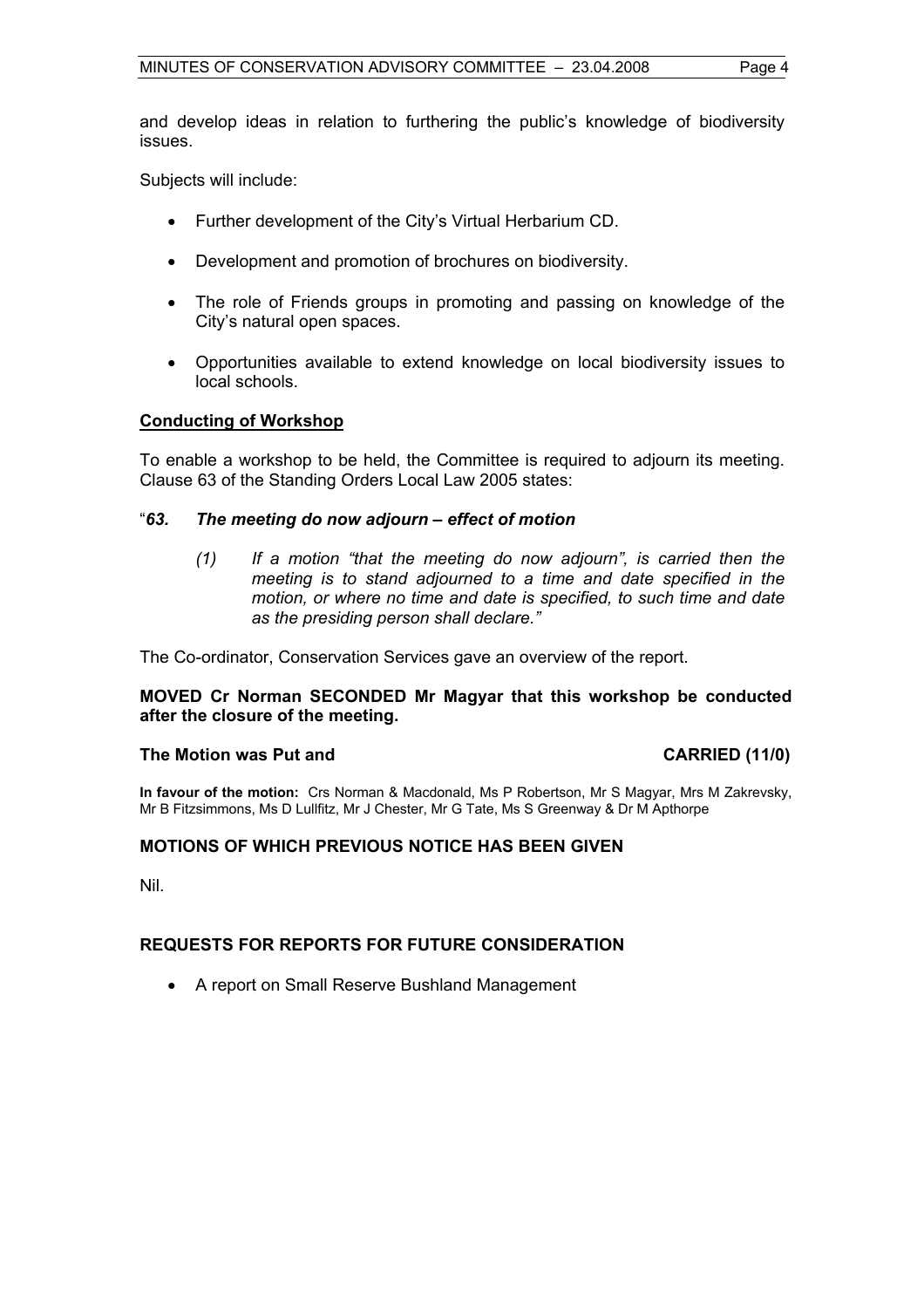and develop ideas in relation to furthering the public's knowledge of biodiversity issues.

Subjects will include:

- Further development of the City's Virtual Herbarium CD.
- Development and promotion of brochures on biodiversity.
- The role of Friends groups in promoting and passing on knowledge of the City's natural open spaces.
- Opportunities available to extend knowledge on local biodiversity issues to local schools.

### **Conducting of Workshop**

To enable a workshop to be held, the Committee is required to adjourn its meeting. Clause 63 of the Standing Orders Local Law 2005 states:

### "*63. The meeting do now adjourn – effect of motion*

*(1) If a motion "that the meeting do now adjourn", is carried then the meeting is to stand adjourned to a time and date specified in the motion, or where no time and date is specified, to such time and date as the presiding person shall declare."* 

The Co-ordinator, Conservation Services gave an overview of the report.

### **MOVED Cr Norman SECONDED Mr Magyar that this workshop be conducted after the closure of the meeting.**

#### The Motion was Put and **CARRIED** (11/0)

**In favour of the motion:** Crs Norman & Macdonald, Ms P Robertson, Mr S Magyar, Mrs M Zakrevsky, Mr B Fitzsimmons, Ms D Lullfitz, Mr J Chester, Mr G Tate, Ms S Greenway & Dr M Apthorpe

#### **MOTIONS OF WHICH PREVIOUS NOTICE HAS BEEN GIVEN**

Nil.

# **REQUESTS FOR REPORTS FOR FUTURE CONSIDERATION**

• A report on Small Reserve Bushland Management